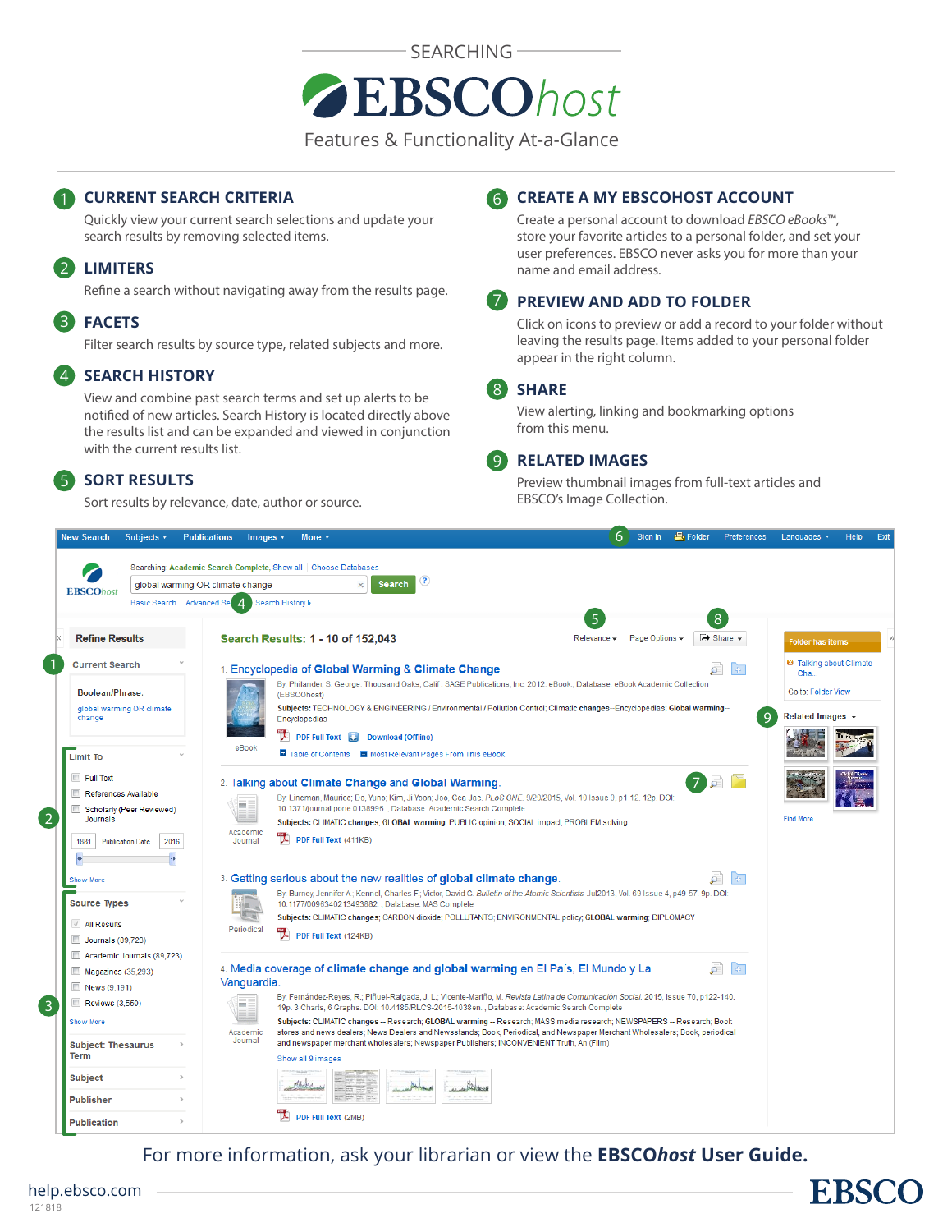

Features & Functionality At-a-Glance

# **CURRENT SEARCH CRITERIA** 6

Quickly view your current search selections and update your search results by removing selected items.

# **LIMITERS** 2

Refine a search without navigating away from the results page.

#### **FACETS** 3

Filter search results by source type, related subjects and more.

#### **SEARCH HISTORY**  $\overline{4}$

View and combine past search terms and set up alerts to be notified of new articles. Search History is located directly above the results list and can be expanded and viewed in conjunction with the current results list.

#### **SORT RESULTS** 5

Sort results by relevance, date, author or source.

# **CREATE A MY EBSCOHOST ACCOUNT**

Create a personal account to download *EBSCO eBooks*™, store your favorite articles to a personal folder, and set your user preferences. EBSCO never asks you for more than your name and email address.

#### **PREVIEW AND ADD TO FOLDER** 7

Click on icons to preview or add a record to your folder without leaving the results page. Items added to your personal folder appear in the right column.

#### **SHARE** 8

View alerting, linking and bookmarking options from this menu.

#### **RELATED IMAGES**  $\lceil 9 \rceil$

Preview thumbnail images from full-text articles and EBSCO's Image Collection.

| Subjects v<br><b>New Search</b>     |               | <b>Publications</b>                                              | Images $\cdot$                             | More +                                       |                                                                                                                                                                                                                         | 6                 | Sign In        | <b>县</b> Folder | Preferences                       | Languages v                     | Help | Exit |
|-------------------------------------|---------------|------------------------------------------------------------------|--------------------------------------------|----------------------------------------------|-------------------------------------------------------------------------------------------------------------------------------------------------------------------------------------------------------------------------|-------------------|----------------|-----------------|-----------------------------------|---------------------------------|------|------|
|                                     |               | Searching: Academic Search Complete, Show all   Choose Databases |                                            |                                              |                                                                                                                                                                                                                         |                   |                |                 |                                   |                                 |      |      |
|                                     |               | global warming OR climate change                                 |                                            |                                              | ?<br><b>Search</b>                                                                                                                                                                                                      |                   |                |                 |                                   |                                 |      |      |
| <b>EBSCOhost</b>                    |               | Basic Search Advanced Se                                         | $\boldsymbol{\varDelta}$<br>Search History |                                              |                                                                                                                                                                                                                         |                   |                |                 |                                   |                                 |      |      |
|                                     |               |                                                                  |                                            |                                              |                                                                                                                                                                                                                         | 5                 |                |                 | 8                                 |                                 |      |      |
| <b>Refine Results</b>               |               |                                                                  |                                            |                                              | Search Results: 1 - 10 of 152,043                                                                                                                                                                                       | Relevance $\star$ | Page Options - |                 | $\rightarrow$ Share $\rightarrow$ | <b>Folder has items</b>         |      |      |
| <b>Current Search</b>               |               |                                                                  |                                            |                                              | 1. Encyclopedia of Global Warming & Climate Change                                                                                                                                                                      |                   |                |                 | ō                                 | <b>23</b> Talking about Climate |      |      |
|                                     |               |                                                                  |                                            |                                              | By: Philander, S. George. Thousand Oaks, Calif: SAGE Publications, Inc. 2012. eBook., Database: eBook Academic Collection                                                                                               |                   |                |                 |                                   | Cha                             |      |      |
| <b>Boolean/Phrase:</b>              |               |                                                                  |                                            | (EBSCOhost)                                  |                                                                                                                                                                                                                         |                   |                |                 |                                   | Go to: Folder View              |      |      |
| global warming OR climate<br>change |               |                                                                  |                                            | Encyclopedias                                | Subjects: TECHNOLOGY & ENGINEERING / Environmental / Pollution Control; Climatic changes--Encyclopedias; Global warming--                                                                                               |                   |                |                 | 9                                 | Related Images +                |      |      |
|                                     |               |                                                                  |                                            |                                              |                                                                                                                                                                                                                         |                   |                |                 |                                   |                                 |      |      |
|                                     |               |                                                                  | eBook                                      |                                              | PDF Full Text   Download (Offline)                                                                                                                                                                                      |                   |                |                 |                                   |                                 |      |      |
| <b>Limit To</b>                     |               |                                                                  |                                            |                                              | Table of Contents T Most Relevant Pages From This eBook                                                                                                                                                                 |                   |                |                 |                                   |                                 |      |      |
| Full Text                           |               |                                                                  |                                            |                                              |                                                                                                                                                                                                                         |                   |                |                 |                                   |                                 |      |      |
| References Available                |               |                                                                  |                                            |                                              | 2. Talking about Climate Change and Global Warming.                                                                                                                                                                     |                   |                |                 | 757                               |                                 |      |      |
| Scholarly (Peer Reviewed)           |               |                                                                  | m.                                         |                                              | By: Lineman, Maurice; Do, Yuno; Kim, Ji Yoon; Joo, Gea-Jae. PLoS ONE. 9/29/2015, Vol. 10 Issue 9, p1-12. 12p. DOI:<br>10.1371/journal.pone.0138996., Database: Academic Search Complete                                 |                   |                |                 |                                   |                                 |      |      |
| <b>Journals</b>                     |               |                                                                  |                                            |                                              | Subjects: CLIMATIC changes; GLOBAL warming; PUBLIC opinion; SOCIAL impact; PROBLEM solving                                                                                                                              |                   |                |                 |                                   | <b>Find More</b>                |      |      |
| 1881<br><b>Publication Date</b>     | 2016          |                                                                  | Academic<br>Journal                        | $\left  \right\rangle$ PDF Full Text (411KB) |                                                                                                                                                                                                                         |                   |                |                 |                                   |                                 |      |      |
|                                     |               |                                                                  |                                            |                                              |                                                                                                                                                                                                                         |                   |                |                 |                                   |                                 |      |      |
|                                     |               |                                                                  |                                            |                                              |                                                                                                                                                                                                                         |                   |                |                 |                                   |                                 |      |      |
| <b>Show More</b>                    |               |                                                                  |                                            |                                              | 3. Getting serious about the new realities of global climate change.                                                                                                                                                    |                   |                |                 |                                   |                                 |      |      |
| <b>Source Types</b>                 |               |                                                                  |                                            |                                              | By: Burney, Jennifer A.; Kennel, Charles F.; Victor, David G. Bulletin of the Atomic Scientists. Jul2013, Vol. 69 Issue 4, p49-57. 9p. DOI:<br>10.1177/0096340213493882., Database: MAS Complete                        |                   |                |                 |                                   |                                 |      |      |
|                                     |               |                                                                  |                                            |                                              | Subjects: CLIMATIC changes; CARBON dioxide; POLLUTANTS; ENVIRONMENTAL policy; GLOBAL warming; DIPLOMACY                                                                                                                 |                   |                |                 |                                   |                                 |      |      |
| √ All Results                       |               |                                                                  | Periodical                                 | PDF Full Text (124KB)                        |                                                                                                                                                                                                                         |                   |                |                 |                                   |                                 |      |      |
| Journals (89,723)                   |               |                                                                  |                                            |                                              |                                                                                                                                                                                                                         |                   |                |                 |                                   |                                 |      |      |
| Academic Journals (89.723)          |               |                                                                  |                                            |                                              |                                                                                                                                                                                                                         |                   |                |                 | $\left  \Phi \right $             |                                 |      |      |
| Magazines (35,293)                  |               |                                                                  | Vanguardia.                                |                                              | 4. Media coverage of climate change and global warming en El País, El Mundo y La                                                                                                                                        |                   |                |                 |                                   |                                 |      |      |
| News (9.191)                        |               |                                                                  |                                            |                                              | By: Fernández-Reyes, R.; Piñuel-Raigada, J. L.; Vicente-Mariño, M. Revista Latina de Comunicación Social. 2015, Issue 70, p122-140.                                                                                     |                   |                |                 |                                   |                                 |      |      |
| Reviews (3,550)                     |               |                                                                  | <b>COLOR</b>                               |                                              | 19p. 3 Charts, 6 Graphs. DOI: 10.4185/RLCS-2015-1038en., Database: Academic Search Complete                                                                                                                             |                   |                |                 |                                   |                                 |      |      |
| <b>Show More</b>                    |               |                                                                  |                                            |                                              | Subjects: CLIMATIC changes -- Research; GLOBAL warming -- Research; MASS media research; NEWSPAPERS -- Research; Book                                                                                                   |                   |                |                 |                                   |                                 |      |      |
| <b>Subject: Thesaurus</b>           | $\rightarrow$ |                                                                  | Academic<br>Journal                        |                                              | stores and news dealers; News Dealers and Newsstands; Book, Periodical, and Newspaper Merchant Wholesalers; Book, periodical<br>and newspaper merchant wholesalers; Newspaper Publishers; INCONVENIENT Truth, An (Film) |                   |                |                 |                                   |                                 |      |      |
| <b>Term</b>                         |               |                                                                  |                                            | Show all 9 images                            |                                                                                                                                                                                                                         |                   |                |                 |                                   |                                 |      |      |
|                                     | $\rightarrow$ |                                                                  |                                            |                                              |                                                                                                                                                                                                                         |                   |                |                 |                                   |                                 |      |      |
| Subject                             |               |                                                                  |                                            |                                              |                                                                                                                                                                                                                         |                   |                |                 |                                   |                                 |      |      |
| <b>Publisher</b>                    |               |                                                                  |                                            |                                              |                                                                                                                                                                                                                         |                   |                |                 |                                   |                                 |      |      |
| <b>Publication</b>                  |               |                                                                  |                                            | <b>PDF Full Text (2MB)</b>                   |                                                                                                                                                                                                                         |                   |                |                 |                                   |                                 |      |      |

For more information, ask your librarian or view the **EBSCO***host* **[User Guide](https://help.ebsco.com/interfaces/EBSCO_Guides/EBSCO_Interfaces_User_Guide).**

# **EBSCC**